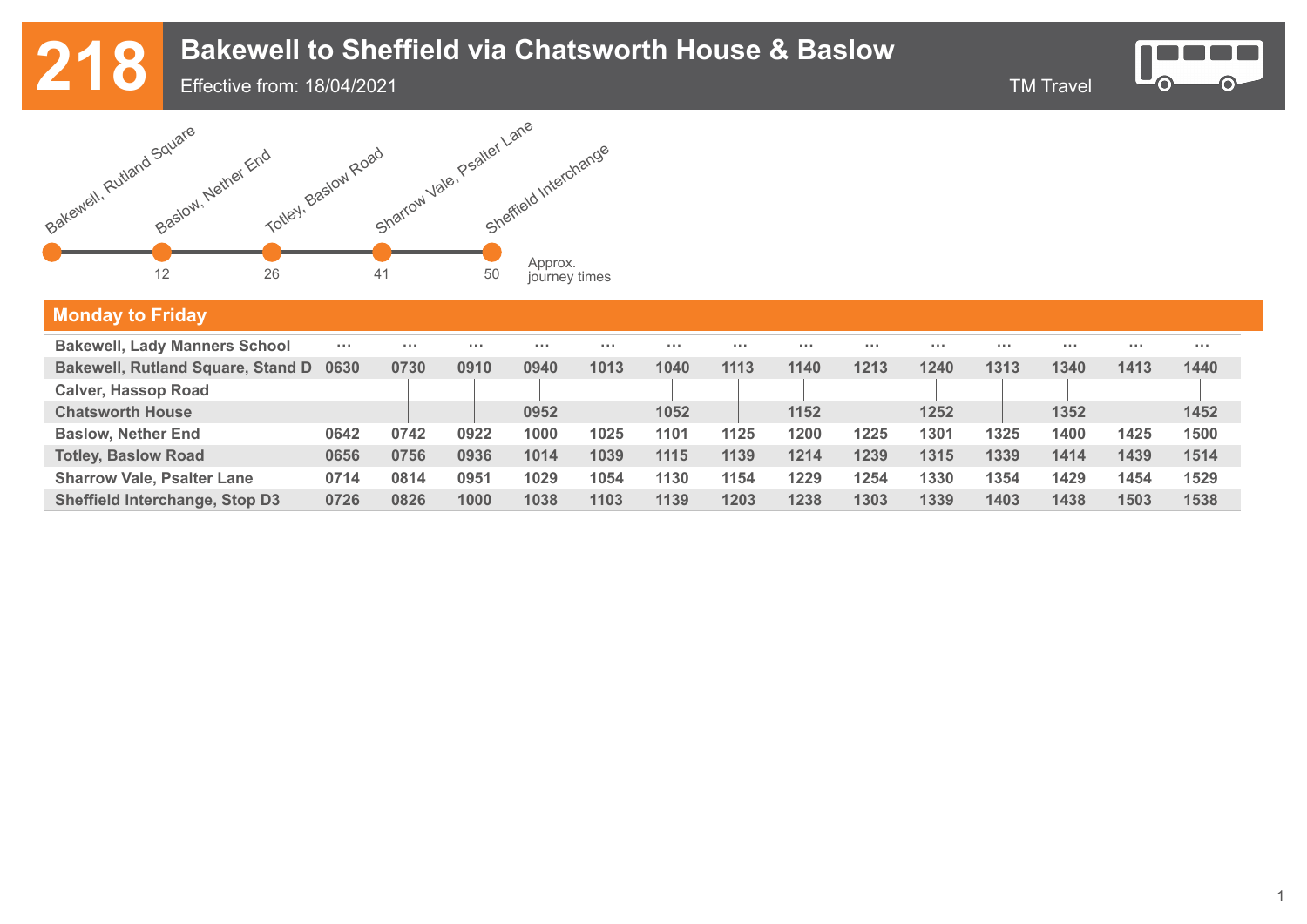Effective from: 18/04/2021





#### **Monday to Friday Bakewell, Lady Manners School Bakewell, Rutland Square, Stand D 0630 Calver, Hassop Road Chatsworth House Baslow, Nether End Totley, Baslow Road Sharrow Vale, Psalter Lane Sheffield Interchange, Stop D3 ··· ··· ··· ··· ··· ··· ··· ··· ··· ··· ··· ··· ··· ···**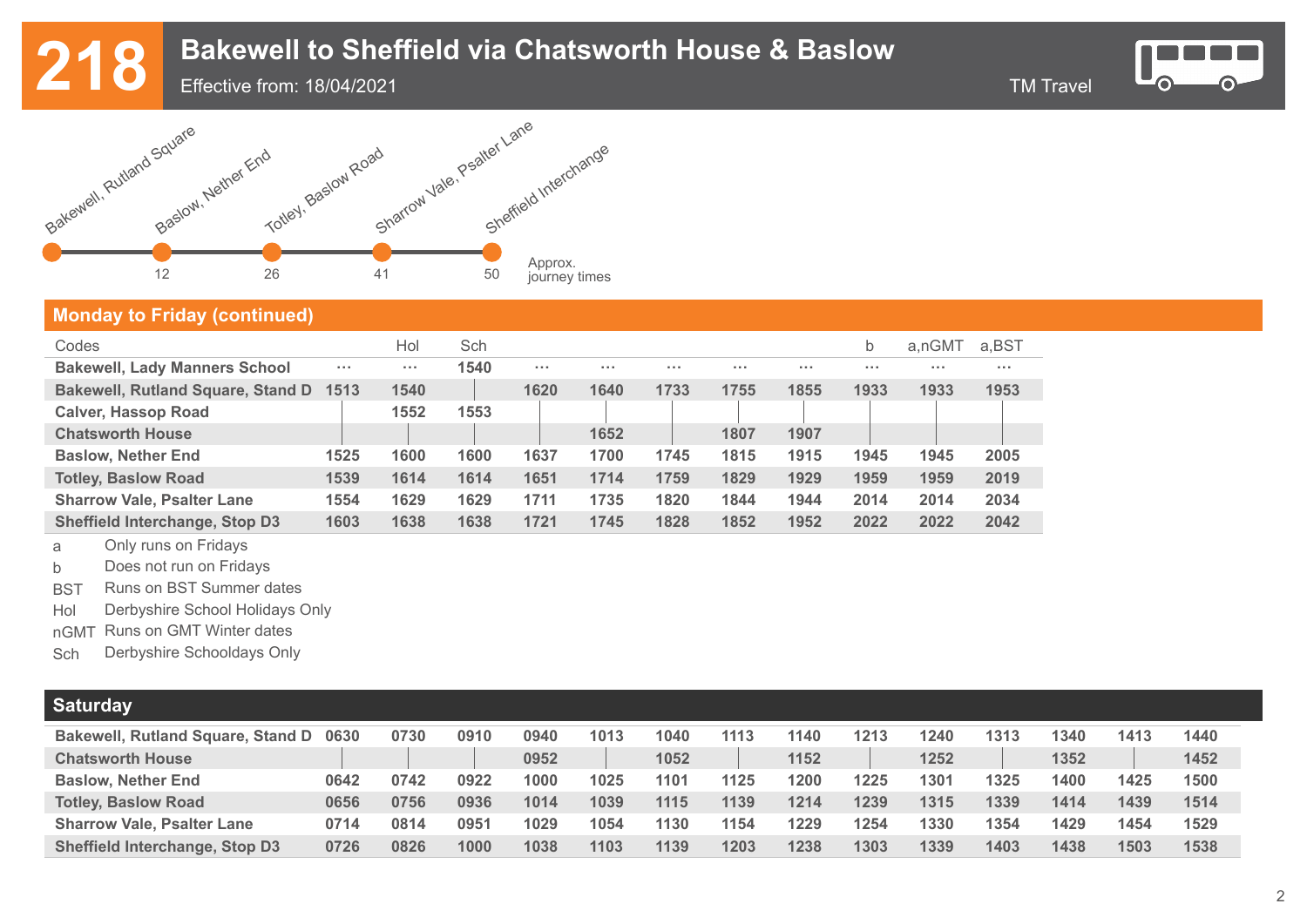Effective from: 18/04/2021



### **Monday to Friday (continued)**

| Codes                                    |            | Hol        | Sch  |                   |            |      |          |      | b        | a.nGMT | a.BST    |
|------------------------------------------|------------|------------|------|-------------------|------------|------|----------|------|----------|--------|----------|
| <b>Bakewell, Lady Manners School</b>     | $\sim 100$ | $\sim 100$ | 1540 | $\sim$ 0.0 $\sim$ | $\sim 100$ |      | $\cdots$ | .    | $\cdots$ | .      | $\cdots$ |
| <b>Bakewell, Rutland Square, Stand D</b> | 1513       | 1540       |      | 1620              | 1640       | 1733 | 1755     | 1855 | 1933     | 1933   | 1953     |
| <b>Calver, Hassop Road</b>               |            | 1552       | 1553 |                   |            |      |          |      |          |        |          |
| <b>Chatsworth House</b>                  |            |            |      |                   | 1652       |      | 1807     | 1907 |          |        |          |
| <b>Baslow, Nether End</b>                | 1525       | 1600       | 1600 | 1637              | 1700       | 1745 | 1815     | 1915 | 1945     | 1945   | 2005     |
| <b>Totley, Baslow Road</b>               | 1539       | 1614       | 1614 | 1651              | 1714       | 1759 | 1829     | 1929 | 1959     | 1959   | 2019     |
| <b>Sharrow Vale, Psalter Lane</b>        | 1554       | 1629       | 1629 | 1711              | 1735       | 1820 | 1844     | 1944 | 2014     | 2014   | 2034     |
| <b>Sheffield Interchange, Stop D3</b>    | 1603       | 1638       | 1638 | 1721              | 1745       | 1828 | 1852     | 1952 | 2022     | 2022   | 2042     |

<sup>a</sup> Only runs on Fridays

b Does not run on Fridays

BST Runs on BST Summer dates

Hol Derbyshire School Holidays Only

nGMT Runs on GMT Winter dates

Sch Derbyshire Schooldays Only

| <b>Saturday</b>                          |      |      |      |      |      |      |      |      |      |      |      |      |      |      |
|------------------------------------------|------|------|------|------|------|------|------|------|------|------|------|------|------|------|
| <b>Bakewell, Rutland Square, Stand D</b> | 0630 | 0730 | 0910 | 0940 | 1013 | 1040 | 1113 | 1140 | 1213 | 1240 | 1313 | 1340 | 1413 | 1440 |
| <b>Chatsworth House</b>                  |      |      |      | 0952 |      | 1052 |      | 1152 |      | 1252 |      | 1352 |      | 1452 |
| <b>Baslow, Nether End</b>                | 0642 | 0742 | 0922 | 1000 | 1025 | 1101 | 1125 | 1200 | 1225 | 1301 | 1325 | 1400 | 1425 | 1500 |
| <b>Totley, Baslow Road</b>               | 0656 | 0756 | 0936 | 1014 | 1039 | 1115 | 1139 | 1214 | 1239 | 1315 | 1339 | 1414 | 1439 | 1514 |
| <b>Sharrow Vale, Psalter Lane</b>        | 0714 | 0814 | 0951 | 1029 | 1054 | 1130 | 1154 | 1229 | 1254 | 1330 | 1354 | 1429 | 1454 | 1529 |
| <b>Sheffield Interchange, Stop D3</b>    | 0726 | 0826 | 1000 | 1038 | 1103 | 1139 | 1203 | 1238 | 1303 | 1339 | 1403 | 1438 | 1503 | 1538 |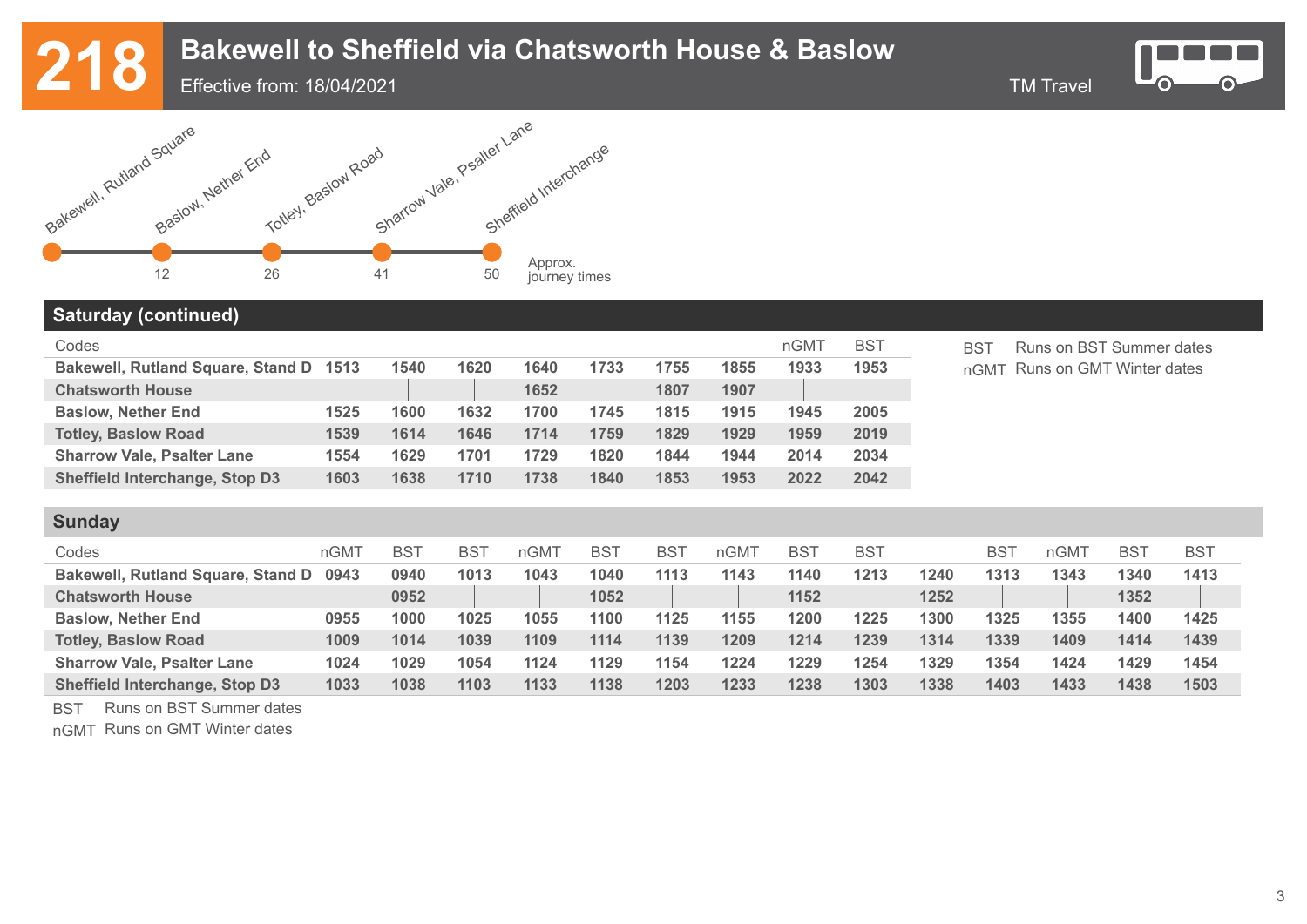Effective from: 18/04/2021







#### **Saturday (continued)**

**Sunday** 

| Codes                                  |      |      |      |      |      |      |      | nGMT | <b>BST</b> |
|----------------------------------------|------|------|------|------|------|------|------|------|------------|
| Bakewell, Rutland Square, Stand D 1513 |      | 1540 | 1620 | 1640 | 1733 | 1755 | 1855 | 1933 | 1953       |
| <b>Chatsworth House</b>                |      |      |      | 1652 |      | 1807 | 1907 |      |            |
| <b>Baslow, Nether End</b>              | 1525 | 1600 | 1632 | 1700 | 1745 | 1815 | 1915 | 1945 | 2005       |
| <b>Totley, Baslow Road</b>             | 1539 | 1614 | 1646 | 1714 | 1759 | 1829 | 1929 | 1959 | 2019       |
| <b>Sharrow Vale, Psalter Lane</b>      | 1554 | 1629 | 1701 | 1729 | 1820 | 1844 | 1944 | 2014 | 2034       |
| <b>Sheffield Interchange, Stop D3</b>  | 1603 | 1638 | 1710 | 1738 | 1840 | 1853 | 1953 | 2022 | 2042       |

BST Runs on BST Summer dates nGMT Runs on GMT Winter dates

| <b>Sunday</b>                            |      |            |      |                  |      |                 |      |            |            |      |            |      |            |            |
|------------------------------------------|------|------------|------|------------------|------|-----------------|------|------------|------------|------|------------|------|------------|------------|
| Codes                                    | nGMT | <b>BST</b> | BS1  | nGM <sub>1</sub> | BS   | BS <sup>-</sup> | nGMT | <b>BST</b> | <b>BST</b> |      | <b>BST</b> | nGMT | <b>BST</b> | <b>BST</b> |
| <b>Bakewell, Rutland Square, Stand D</b> | 0943 | 0940       | 1013 | 1043             | 1040 | 1113            | 1143 | 1140       | 1213       | 1240 | 1313       | 1343 | 1340       | 1413       |
| <b>Chatsworth House</b>                  |      | 0952       |      |                  | 1052 |                 |      | 1152       |            | 1252 |            |      | 1352       |            |
| <b>Baslow, Nether End</b>                | 0955 | 1000       | 1025 | 1055             | 1100 | 1125            | 1155 | 1200       | 1225       | 1300 | 1325       | 1355 | 1400       | 1425       |
| <b>Totley, Baslow Road</b>               | 1009 | 1014       | 1039 | 1109             | 1114 | 1139            | 1209 | 1214       | 1239       | 1314 | 1339       | 1409 | 1414       | 1439       |
| <b>Sharrow Vale, Psalter Lane</b>        | 1024 | 1029       | 1054 | 1124             | 1129 | 1154            | 1224 | 1229       | 1254       | 1329 | 1354       | 1424 | 1429       | 1454       |
| Sheffield Interchange, Stop D3           | 1033 | 1038       | 1103 | 1133             | 1138 | 1203            | 1233 | 1238       | 1303       | 1338 | 1403       | 1433 | 1438       | 1503       |

BST Runs on BST Summer dates

nGMT Runs on GMT Winter dates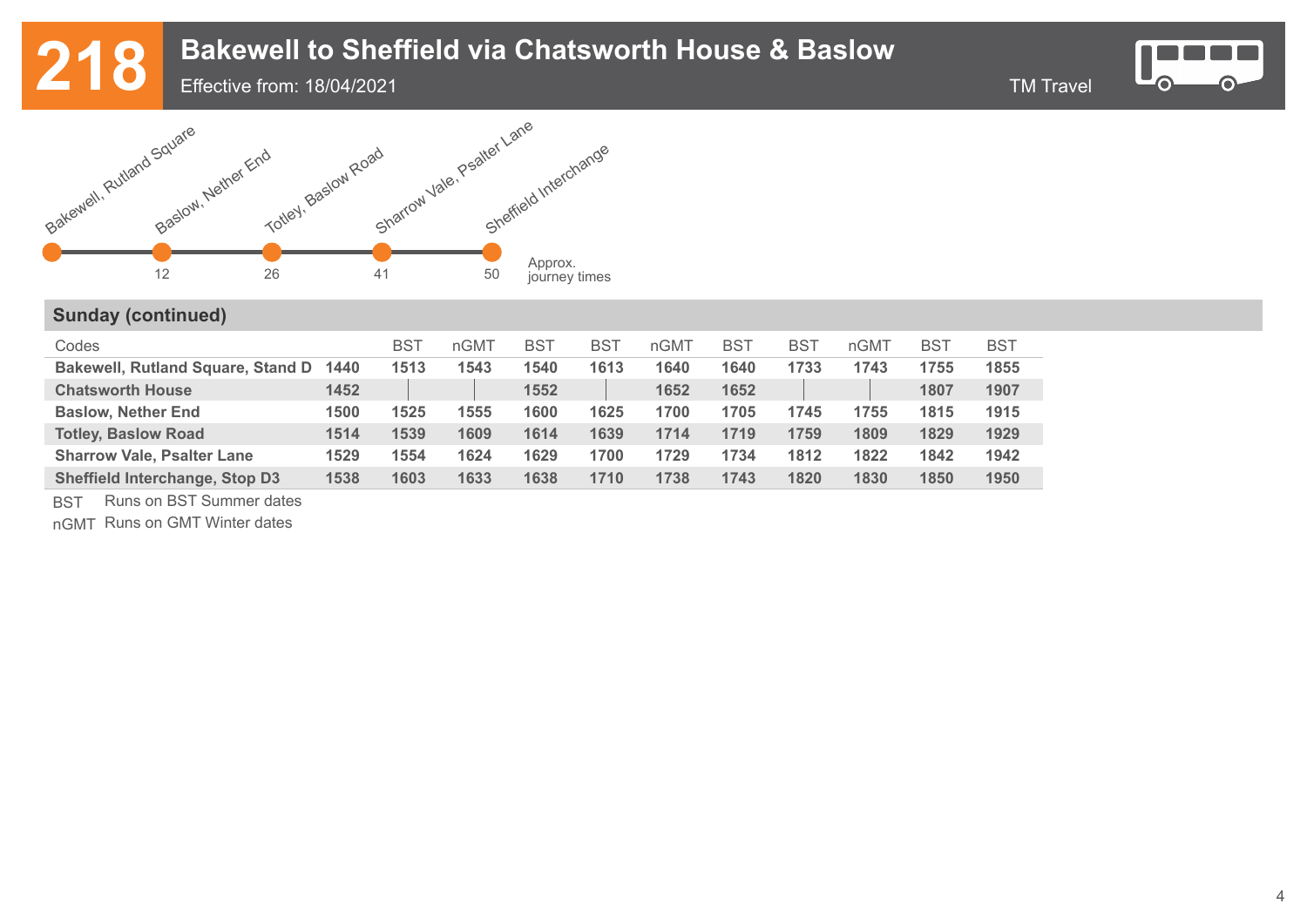Effective from: 18/04/2021



⋒

**C** 



### **Sunday (continued)**

| Codes                                    |      | <b>BST</b> | nGMT | <b>BST</b> | <b>BST</b> | nGMT | <b>BST</b> | <b>BST</b> | nGMT | <b>BST</b> | <b>BST</b> |
|------------------------------------------|------|------------|------|------------|------------|------|------------|------------|------|------------|------------|
| <b>Bakewell, Rutland Square, Stand D</b> | 1440 | 1513       | 1543 | 1540       | 1613       | 1640 | 1640       | 1733       | 1743 | 1755       | 1855       |
| <b>Chatsworth House</b>                  | 1452 |            |      | 1552       |            | 1652 | 1652       |            |      | 1807       | 1907       |
| <b>Baslow, Nether End</b>                | 1500 | 1525       | 1555 | 1600       | 1625       | 1700 | 1705       | 1745       | 1755 | 1815       | 1915       |
| <b>Totley, Baslow Road</b>               | 1514 | 1539       | 1609 | 1614       | 1639       | 1714 | 1719       | 1759       | 1809 | 1829       | 1929       |
| <b>Sharrow Vale, Psalter Lane</b>        | 1529 | 1554       | 1624 | 1629       | 1700       | 1729 | 1734       | 1812       | 1822 | 1842       | 1942       |
| <b>Sheffield Interchange, Stop D3</b>    | 1538 | 1603       | 1633 | 1638       | 1710       | 1738 | 1743       | 1820       | 1830 | 1850       | 1950       |

BST Runs on BST Summer dates

nGMT Runs on GMT Winter dates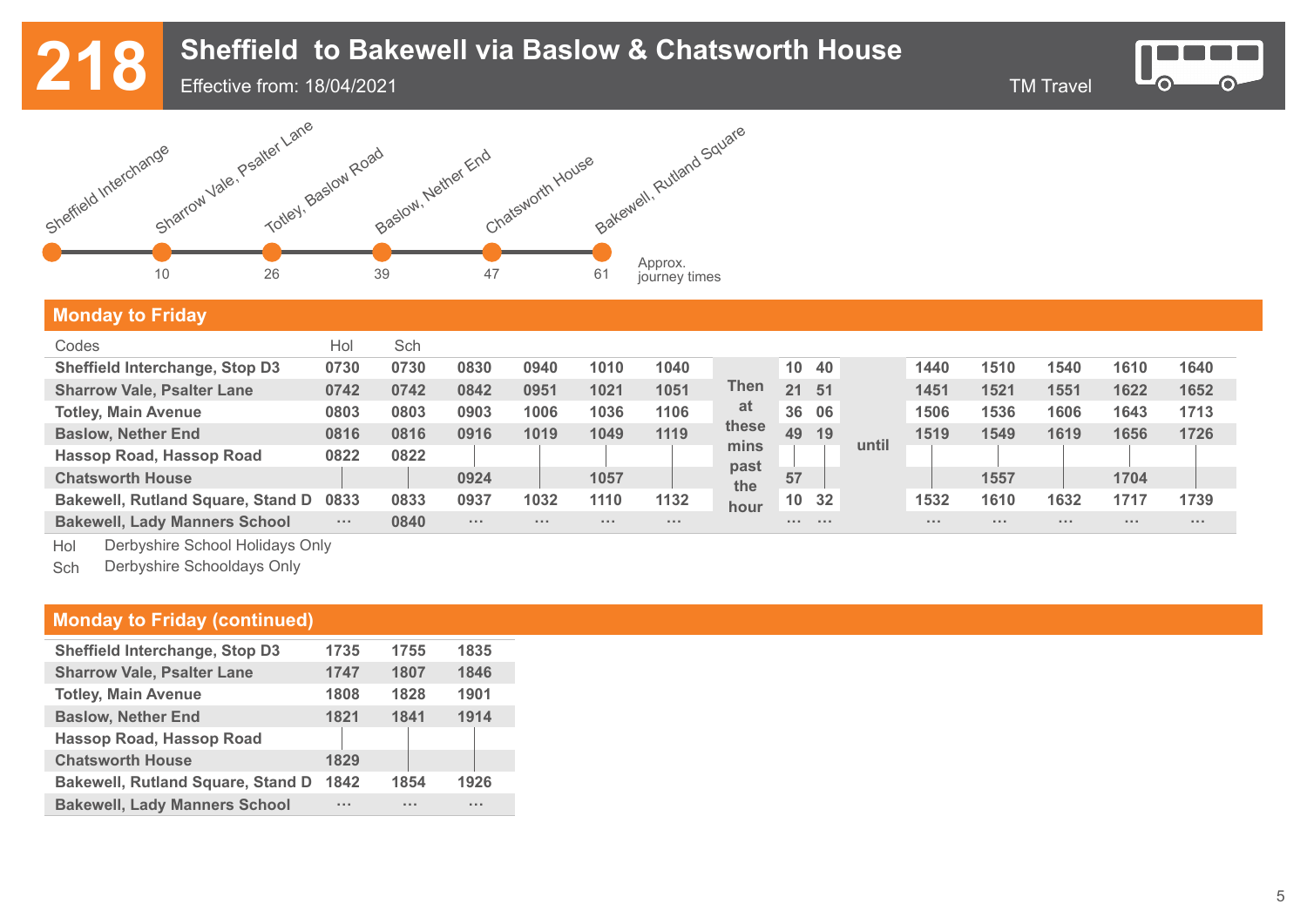# 218 Sheffield to Bakewell via Baslow & Chatsworth House<br>218 Effective from: 18/04/2021

Effective from: 18/04/2021

 $\bullet$ 



### **Monday to Friday**

| Codes                                    | Hol         | Sch  |          |       |          |       |             |                 |       |       |      |       |      |          |          |
|------------------------------------------|-------------|------|----------|-------|----------|-------|-------------|-----------------|-------|-------|------|-------|------|----------|----------|
| <b>Sheffield Interchange, Stop D3</b>    | 0730        | 0730 | 0830     | 0940  | 1010     | 1040  |             | 10 <sup>1</sup> | -40   |       | 1440 | 1510  | 1540 | 1610     | 1640     |
| <b>Sharrow Vale, Psalter Lane</b>        | 0742        | 0742 | 0842     | 0951  | 1021     | 1051  | Then        | 21              | 51    |       | 1451 | 1521  | 1551 | 1622     | 1652     |
| <b>Totley, Main Avenue</b>               | 0803        | 0803 | 0903     | 1006  | 1036     | 1106  | at          | 36              | 06    |       | 1506 | 1536  | 1606 | 1643     | 1713     |
| <b>Baslow, Nether End</b>                | 0816        | 0816 | 0916     | 1019  | 1049     | 1119  | these       | 49              | 19    |       | 1519 | 1549  | 1619 | 1656     | 1726     |
| Hassop Road, Hassop Road                 | 0822        | 0822 |          |       |          |       | mins        |                 |       | until |      |       |      |          |          |
| <b>Chatsworth House</b>                  |             |      | 0924     |       | 1057     |       | past<br>the | 57              |       |       |      | 1557  |      | 1704     |          |
| <b>Bakewell, Rutland Square, Stand D</b> | 0833        | 0833 | 0937     | 1032  | 1110     | 1132  | hour        |                 | 10 32 |       | 1532 | 1610  | 1632 | 1717     | 1739     |
| <b>Bakewell, Lady Manners School</b>     | $\sim 1000$ | 0840 | $\cdots$ | 1.1.1 | $\cdots$ | 1.1.1 |             | .               | .     |       |      | 1.1.1 | .    | $\cdots$ | $\cdots$ |

Hol Derbyshire School Holidays Only

Sch Derbyshire Schooldays Only

#### **Monday to Friday (continued)**

| Sheffield Interchange, Stop D3           | 1735 | 1755  | 1835                 |
|------------------------------------------|------|-------|----------------------|
| <b>Sharrow Vale, Psalter Lane</b>        | 1747 | 1807  | 1846                 |
| <b>Totley, Main Avenue</b>               | 1808 | 1828  | 1901                 |
| <b>Baslow, Nether End</b>                | 1821 | 1841  | 1914                 |
| <b>Hassop Road, Hassop Road</b>          |      |       |                      |
| <b>Chatsworth House</b>                  | 1829 |       |                      |
| <b>Bakewell, Rutland Square, Stand D</b> | 1842 | 1854  | 1926                 |
| <b>Bakewell, Lady Manners School</b>     | 1.11 | 1.1.1 | $\sim$ $\sim$ $\sim$ |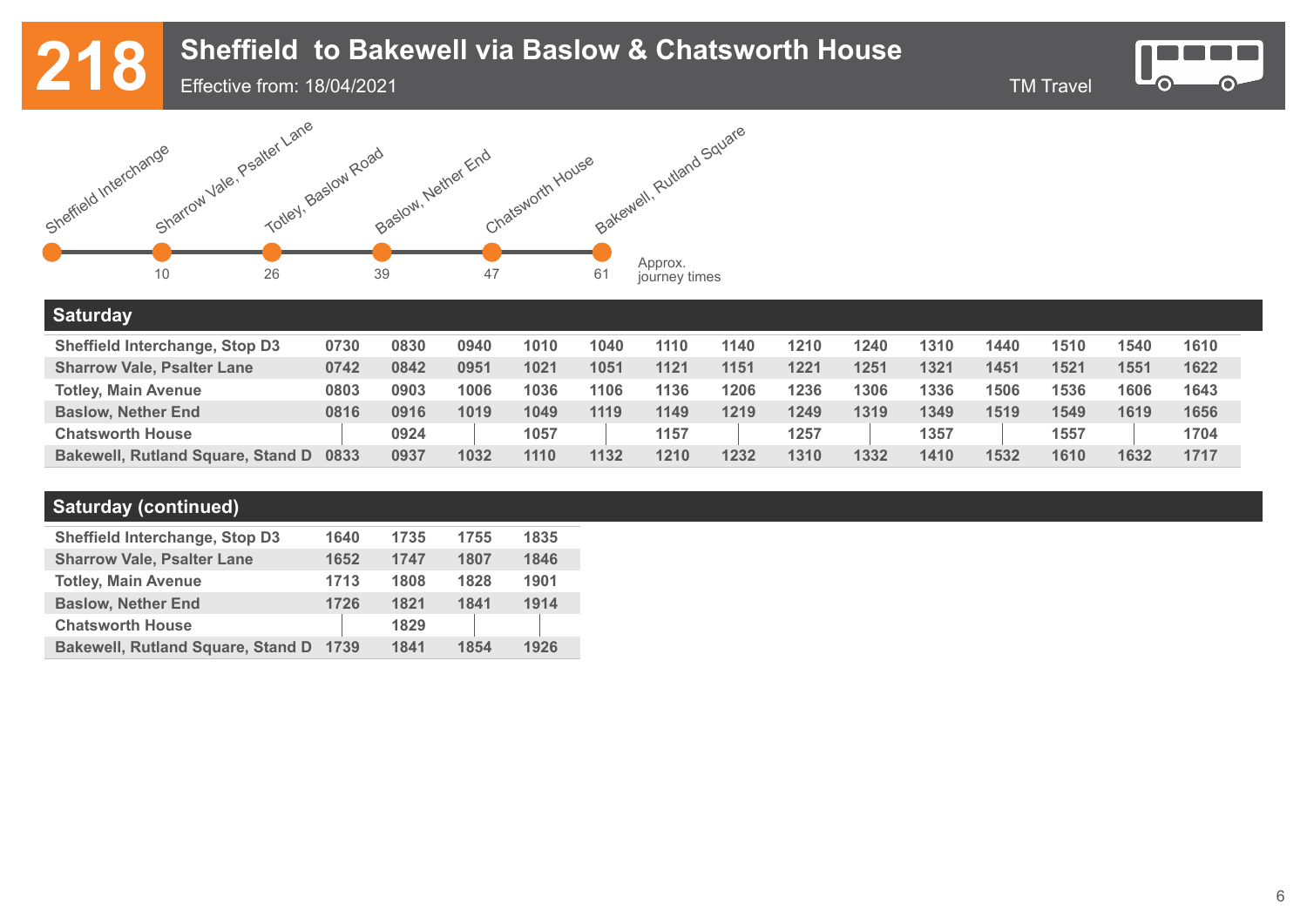# 218 Sheffield to Bakewell via Baslow & Chatsworth House<br>218 Effective from: 18/04/2021

Effective from: 18/04/2021

-0

 $\odot$ 



#### **Saturday**

| Sheffield Interchange, Stop D3           | 0730 | 0830 | 0940 | 1010 | 1040 | 1110 | 1140 | 1210 | 1240 | 1310 | 1440 | 1510 | 1540 | 1610 |
|------------------------------------------|------|------|------|------|------|------|------|------|------|------|------|------|------|------|
| <b>Sharrow Vale, Psalter Lane</b>        | 0742 | 0842 | 0951 | 1021 | 1051 | 1121 | 1151 | 1221 | 1251 | 1321 | 1451 | 1521 | 1551 | 1622 |
| <b>Totley, Main Avenue</b>               | 0803 | 0903 | 1006 | 1036 | 1106 | 1136 | 1206 | 1236 | 1306 | 1336 | 1506 | 1536 | 1606 | 1643 |
| <b>Baslow, Nether End</b>                | 0816 | 0916 | 1019 | 1049 | 1119 | 1149 | 1219 | 1249 | 1319 | 1349 | 1519 | 1549 | 1619 | 1656 |
| <b>Chatsworth House</b>                  |      | 0924 |      | 1057 |      | 1157 |      | 1257 |      | 1357 |      | 1557 |      | 1704 |
| <b>Bakewell, Rutland Square, Stand D</b> | 0833 | 0937 | 1032 | 1110 | 1132 | 1210 | 1232 | 1310 | 1332 | 1410 | 1532 | 1610 | 1632 | 1717 |

### **Saturday (continued)**

| <b>Sheffield Interchange, Stop D3</b>    | 1640 | 1735 | 1755 | 1835 |
|------------------------------------------|------|------|------|------|
| <b>Sharrow Vale, Psalter Lane</b>        | 1652 | 1747 | 1807 | 1846 |
| <b>Totley, Main Avenue</b>               | 1713 | 1808 | 1828 | 1901 |
| <b>Baslow, Nether End</b>                | 1726 | 1821 | 1841 | 1914 |
| <b>Chatsworth House</b>                  |      | 1829 |      |      |
| <b>Bakewell, Rutland Square, Stand D</b> | 1739 | 1841 | 1854 | 1926 |